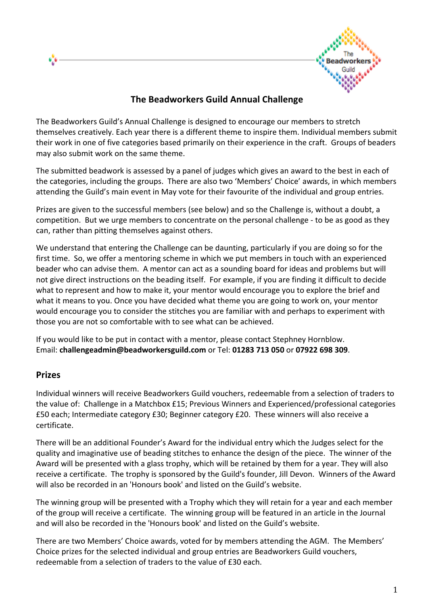

# **The Beadworkers Guild Annual Challenge**

The Beadworkers Guild's Annual Challenge is designed to encourage our members to stretch themselves creatively. Each year there is a different theme to inspire them. Individual members submit their work in one of five categories based primarily on their experience in the craft. Groups of beaders may also submit work on the same theme.

The submitted beadwork is assessed by a panel of judges which gives an award to the best in each of the categories, including the groups. There are also two 'Members' Choice' awards, in which members attending the Guild's main event in May vote for their favourite of the individual and group entries.

Prizes are given to the successful members (see below) and so the Challenge is, without a doubt, a competition. But we urge members to concentrate on the personal challenge - to be as good as they can, rather than pitting themselves against others.

We understand that entering the Challenge can be daunting, particularly if you are doing so for the first time. So, we offer a mentoring scheme in which we put members in touch with an experienced beader who can advise them. A mentor can act as a sounding board for ideas and problems but will not give direct instructions on the beading itself. For example, if you are finding it difficult to decide what to represent and how to make it, your mentor would encourage you to explore the brief and what it means to you. Once you have decided what theme you are going to work on, your mentor would encourage you to consider the stitches you are familiar with and perhaps to experiment with those you are not so comfortable with to see what can be achieved.

If you would like to be put in contact with a mentor, please contact Stephney Hornblow. Email: **challengeadmin@beadworkersguild.com** or Tel: **01283 713 050** or **07922 698 309**.

#### **Prizes**

Individual winners will receive Beadworkers Guild vouchers, redeemable from a selection of traders to the value of: Challenge in a Matchbox £15; Previous Winners and Experienced/professional categories £50 each; Intermediate category £30; Beginner category £20. These winners will also receive a certificate.

There will be an additional Founder's Award for the individual entry which the Judges select for the quality and imaginative use of beading stitches to enhance the design of the piece. The winner of the Award will be presented with a glass trophy, which will be retained by them for a year. They will also receive a certificate. The trophy is sponsored by the Guild's founder, Jill Devon. Winners of the Award will also be recorded in an 'Honours book' and listed on the Guild's website.

The winning group will be presented with a Trophy which they will retain for a year and each member of the group will receive a certificate. The winning group will be featured in an article in the Journal and will also be recorded in the 'Honours book' and listed on the Guild's website.

There are two Members' Choice awards, voted for by members attending the AGM. The Members' Choice prizes for the selected individual and group entries are Beadworkers Guild vouchers, redeemable from a selection of traders to the value of £30 each.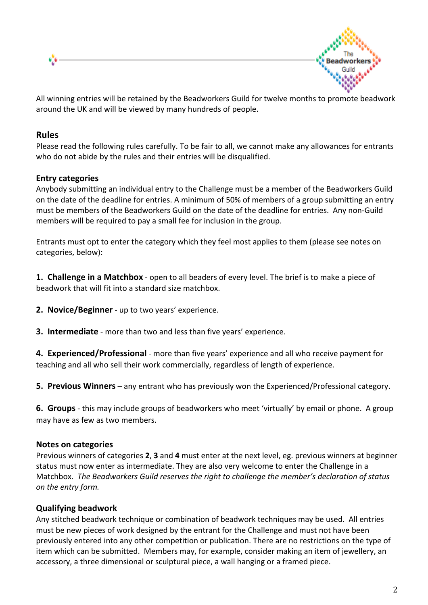



All winning entries will be retained by the Beadworkers Guild for twelve months to promote beadwork around the UK and will be viewed by many hundreds of people.

#### **Rules**

Please read the following rules carefully. To be fair to all, we cannot make any allowances for entrants who do not abide by the rules and their entries will be disqualified.

#### **Entry categories**

Anybody submitting an individual entry to the Challenge must be a member of the Beadworkers Guild on the date of the deadline for entries. A minimum of 50% of members of a group submitting an entry must be members of the Beadworkers Guild on the date of the deadline for entries. Any non-Guild members will be required to pay a small fee for inclusion in the group.

Entrants must opt to enter the category which they feel most applies to them (please see notes on categories, below):

**1. Challenge in a Matchbox** - open to all beaders of every level. The brief is to make a piece of beadwork that will fit into a standard size matchbox.

**2.** Novice/Beginner - up to two years' experience.

**3.** Intermediate - more than two and less than five years' experience.

**4. Experienced/Professional** - more than five years' experience and all who receive payment for teaching and all who sell their work commercially, regardless of length of experience.

**5. Previous Winners** – any entrant who has previously won the Experienced/Professional category.

**6. Groups** - this may include groups of beadworkers who meet 'virtually' by email or phone. A group may have as few as two members.

#### **Notes on categories**

Previous winners of categories 2, 3 and 4 must enter at the next level, eg. previous winners at beginner status must now enter as intermediate. They are also very welcome to enter the Challenge in a Matchbox. The Beadworkers Guild reserves the right to challenge the member's declaration of status *on the entry form.*

## **Qualifying beadwork**

Any stitched beadwork technique or combination of beadwork techniques may be used. All entries must be new pieces of work designed by the entrant for the Challenge and must not have been previously entered into any other competition or publication. There are no restrictions on the type of item which can be submitted. Members may, for example, consider making an item of jewellery, an accessory, a three dimensional or sculptural piece, a wall hanging or a framed piece.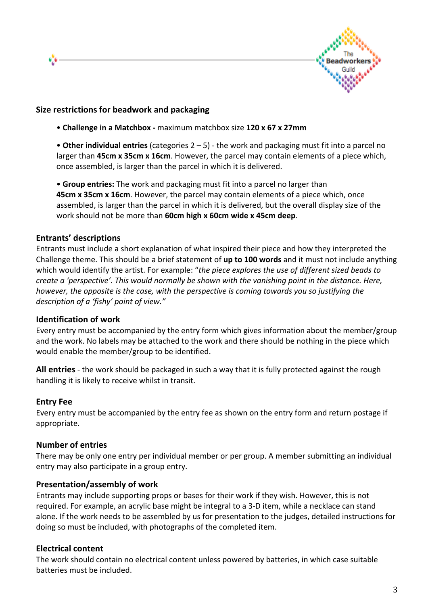

#### **Size restrictions for beadwork and packaging**

• Challenge in a Matchbox - maximum matchbox size 120 x 67 x 27mm

• Other individual entries (categories 2 – 5) - the work and packaging must fit into a parcel no larger than **45cm x 35cm x 16cm**. However, the parcel may contain elements of a piece which, once assembled, is larger than the parcel in which it is delivered.

• Group entries: The work and packaging must fit into a parcel no larger than **45cm x 35cm x 16cm**. However, the parcel may contain elements of a piece which, once assembled, is larger than the parcel in which it is delivered, but the overall display size of the work should not be more than 60cm high x 60cm wide x 45cm deep.

#### **Entrants' descriptions**

6,6

Entrants must include a short explanation of what inspired their piece and how they interpreted the Challenge theme. This should be a brief statement of up to 100 words and it must not include anything which would identify the artist. For example: "the piece explores the use of different sized beads to *create a 'perspective'. This would normally be shown with the vanishing point in the distance. Here, however, the opposite is the case, with the perspective is coming towards you so justifying the description of a 'fishy' point of view."* 

#### **Identification of work**

Every entry must be accompanied by the entry form which gives information about the member/group and the work. No labels may be attached to the work and there should be nothing in the piece which would enable the member/group to be identified.

**All entries** - the work should be packaged in such a way that it is fully protected against the rough handling it is likely to receive whilst in transit.

#### **Entry Fee**

Every entry must be accompanied by the entry fee as shown on the entry form and return postage if appropriate.

#### **Number of entries**

There may be only one entry per individual member or per group. A member submitting an individual entry may also participate in a group entry.

#### **Presentation/assembly of work**

Entrants may include supporting props or bases for their work if they wish. However, this is not required. For example, an acrylic base might be integral to a 3-D item, while a necklace can stand alone. If the work needs to be assembled by us for presentation to the judges, detailed instructions for doing so must be included, with photographs of the completed item.

#### **Electrical content**

The work should contain no electrical content unless powered by batteries, in which case suitable batteries must be included.